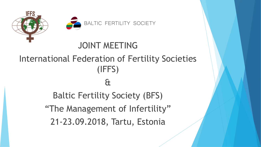



## JOINT MEETING International Federation of Fertility Societies (IFFS) & Baltic Fertility Society (BFS) "The Management of Infertility" 21-23.09.2018, Tartu, Estonia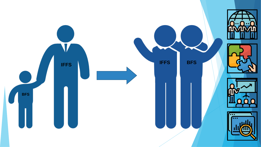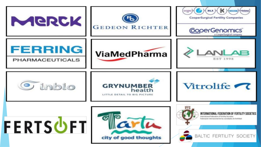